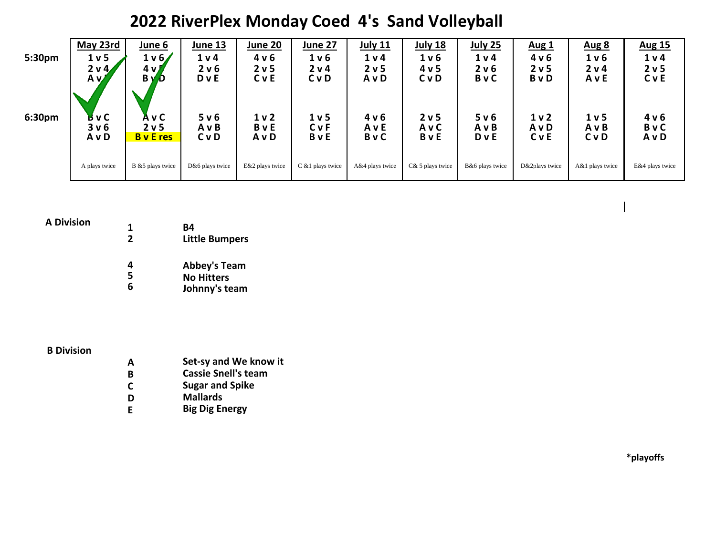## **2022 RiverPlex Monday Coed 4's Sand Volleyball**

| 5:30pm             | May 23rd<br>1 <sub>v</sub><br>$2 \vee 4$<br>A v | June 6<br>1 v 6/<br>$4 \vee$<br>B y<br>D      | June 13<br>1 <sub>v</sub><br>2 v 6<br><b>D</b> v E | June 20<br>4 v 6<br>2 v 5<br><b>C</b> v E | June 27<br>1 <sub>v</sub><br>2 v 4<br>CvD | <b>July 11</b><br>1 v 4<br>2 <sub>v</sub> 5<br>A v D | <b>July 18</b><br>1 <sub>v</sub><br>4 v 5<br><b>C</b> v D | <b>July 25</b><br>1 <sub>v</sub><br>2 v 6<br><b>B</b> v C | <b>Aug 1</b><br>4 v 6<br>2 <sub>v</sub> 5<br>BvD | <b>Aug 8</b><br>1 v 6<br>2 v 4<br>AvE  | <b>Aug 15</b><br>1 <sub>v</sub><br>2 <sub>v</sub> 5<br>CvE |
|--------------------|-------------------------------------------------|-----------------------------------------------|----------------------------------------------------|-------------------------------------------|-------------------------------------------|------------------------------------------------------|-----------------------------------------------------------|-----------------------------------------------------------|--------------------------------------------------|----------------------------------------|------------------------------------------------------------|
| 6:30 <sub>pm</sub> | ВуС<br>3 <sub>v</sub> 6<br>A v D                | A v C<br>2 <sub>v</sub> 5<br><b>B</b> v E res | 5 v 6<br>A v B<br><b>C</b> v D                     | 1 <sub>v</sub><br>BvE<br>AvD              | 1 <sub>v</sub><br><b>C</b> vF<br>BvE      | 4 v 6<br>AvE<br>BvC                                  | 2 <sub>v</sub> 5<br><b>AvC</b><br><b>B</b> v E            | 5 v 6<br>AvB<br><b>D</b> v E                              | 1 <sub>v</sub><br>AvD<br>CvE                     | 1 <sub>v</sub> 5<br>AvB<br><b>C</b> vD | 4 v 6<br>BvC<br>AvD                                        |
|                    | A plays twice                                   | B &5 plays twice                              | D&6 plays twice                                    | E&2 plays twice                           | C &1 plays twice                          | A&4 plays twice                                      | C& 5 plays twice                                          | B&6 plays twice                                           | D&2plays twice                                   | A&1 plays twice                        | E&4 plays twice                                            |

#### **A Division**

| 1            | B4                    |
|--------------|-----------------------|
| $\mathbf{2}$ | <b>Little Bumpers</b> |
|              |                       |
| 4            | <b>Abbey's Team</b>   |
| 5            | <b>No Hitters</b>     |
| 6            | Johnny's team         |

### **B Division**

**A Set-sy and We know it B Cassie Snell's team C Sugar and Spike D** Mallards<br>**E** Big Dig Er **E Big Dig Energy**

**\*playoffs**

 $\overline{\phantom{a}}$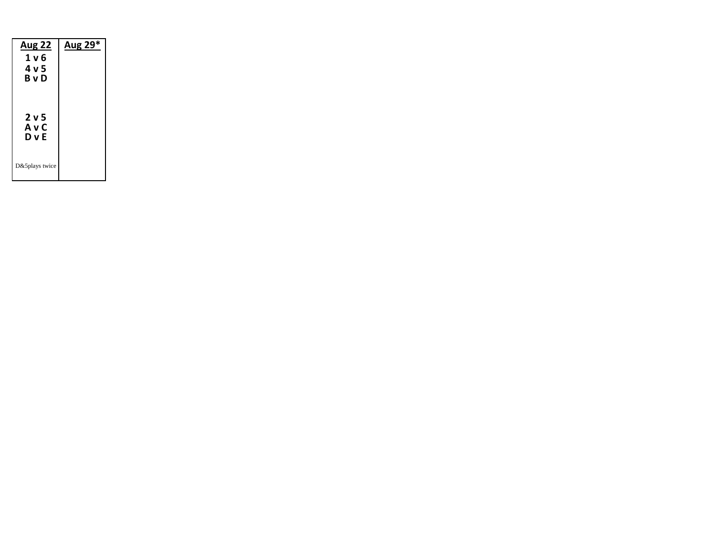| <u>Aug 22</u><br>1 v 6<br>4 v 5<br>BvD | Aug 29* |
|----------------------------------------|---------|
| 2 v 5<br>A v C<br>D v E                |         |
| D&5plays twice                         |         |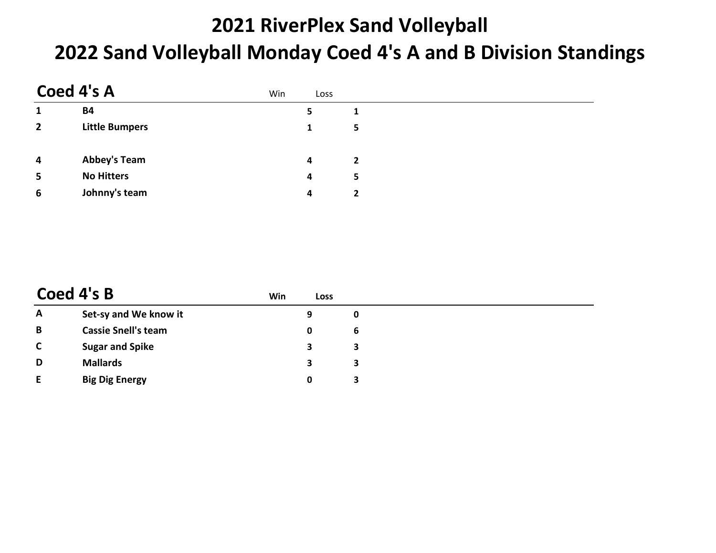# **2021 RiverPlex Sand Volleyball 2022 Sand Volleyball Monday Coed 4's A and B Division Standings**

|                         | Coed 4's A            | Win | Loss |                |  |  |
|-------------------------|-----------------------|-----|------|----------------|--|--|
| 1                       | <b>B4</b>             |     | 5    | 1              |  |  |
| $\overline{2}$          | <b>Little Bumpers</b> |     | 1    | 5              |  |  |
| $\overline{\mathbf{4}}$ | <b>Abbey's Team</b>   |     | 4    | $\overline{2}$ |  |  |
| 5                       | <b>No Hitters</b>     |     | 4    | 5              |  |  |
| 6                       | Johnny's team         |     | 4    | 2              |  |  |

|              | Coed 4's B                 | Win | Loss |   |
|--------------|----------------------------|-----|------|---|
| A            | Set-sy and We know it      |     | 9    | 0 |
| B            | <b>Cassie Snell's team</b> |     | 0    | 6 |
| $\mathsf{C}$ | <b>Sugar and Spike</b>     |     | 3    | 3 |
| D            | <b>Mallards</b>            |     | 3    | 3 |
| E            | <b>Big Dig Energy</b>      |     | 0    |   |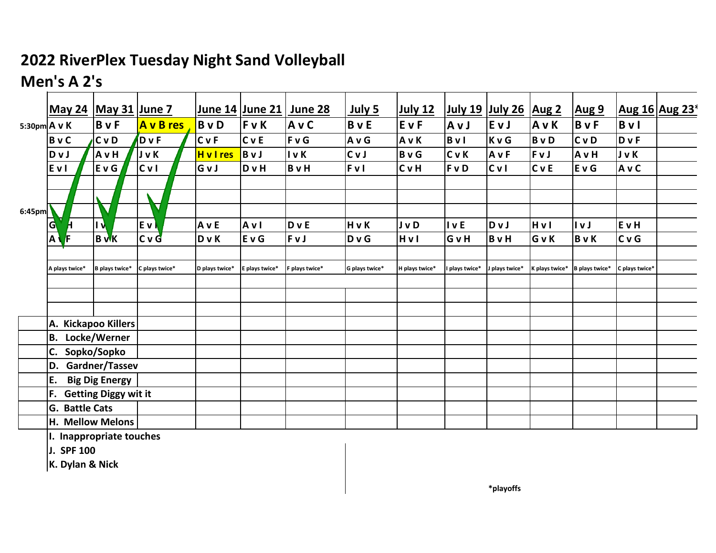### **2022 RiverPlex Tuesday Night Sand Volleyball**

## **Men's A 2's**

|              | <b>May 24</b>           | <b>May 31 June 7</b>    |                |                  |                | June 14 June 21 June 28 | <u>July 5</u>  | <b>July 12</b> |                                    | <u>July 19 July 26</u> | <b>Aug 2</b>   | <b>Aug 9</b>   |                | Aug 16 Aug 23 <sup>*</sup> |
|--------------|-------------------------|-------------------------|----------------|------------------|----------------|-------------------------|----------------|----------------|------------------------------------|------------------------|----------------|----------------|----------------|----------------------------|
| 5:30pm A v K |                         | <b>B</b> v F            | A v B res      | <b>B</b> v D     | FvK            | A v C                   | <b>B</b> v E   | EvF            | AvJ                                | EvJ                    | AvK            | <b>B</b> v F   | <b>B</b> v l   |                            |
|              | <b>B</b> v C            | <b>C</b> v D            | DvF            | <b>C</b> vF      | <b>C</b> v E   | <b>FvG</b>              | A v G          | AvK            | BvI                                | KvG                    | <b>B</b> v D   | <b>C</b> v D   | <b>D</b> v F   |                            |
|              | Dv J                    | A v H                   | <b>JvK</b>     | <b>H</b> v I res | BvJ            | I v K                   | CvJ            | <b>B</b> v G   | <b>C</b> vK                        | <b>AvF</b>             | FvJ            | A v H          | <b>J</b> v K   |                            |
|              | EvI                     | E v G                   | C <sub>V</sub> | GvJ              | <b>D</b> v H   | <b>B</b> v H            | <b>FvI</b>     | <b>C</b> vH    | FvD                                | C <sub>V</sub>         | <b>C</b> v E   | E v G          | AvC            |                            |
|              |                         |                         |                |                  |                |                         |                |                |                                    |                        |                |                |                |                            |
|              |                         |                         | ▽              |                  |                |                         |                |                |                                    |                        |                |                |                |                            |
| 6:45pm       |                         |                         |                |                  |                |                         |                |                |                                    |                        |                |                |                |                            |
|              | <b>G</b>                | $\overline{\mathbf{R}}$ | Ev)            | <b>A</b> v E     | Avl            | DvE                     | HvK            | J v D          | $\mathsf{I} \mathsf{v} \mathsf{E}$ | Dv J                   | HvI            | l v J          | EvH            |                            |
|              | $\overline{A}$<br>Æ     | $B$ $\mathsf{W}$ K      | CvG            | D v K            | EvG            | FvJ                     | DvG            | Hvl            | GvH                                | <b>B</b> v H           | GvK            | <b>B</b> v K   | <b>CvG</b>     |                            |
|              |                         |                         |                |                  |                |                         |                |                |                                    |                        |                |                |                |                            |
|              | A plays twice*          | B plays twice*          | C plays twice* | D plays twice*   | E plays twice* | F plays twice*          | G plays twice* | H plays twice* | I plays twice*                     | J plays twice*         | K plays twice* | B plays twice* | C plays twice* |                            |
|              |                         |                         |                |                  |                |                         |                |                |                                    |                        |                |                |                |                            |
|              |                         |                         |                |                  |                |                         |                |                |                                    |                        |                |                |                |                            |
|              | A. Kickapoo Killers     |                         |                |                  |                |                         |                |                |                                    |                        |                |                |                |                            |
|              |                         |                         |                |                  |                |                         |                |                |                                    |                        |                |                |                |                            |
|              | <b>B.</b> Locke/Werner  |                         |                |                  |                |                         |                |                |                                    |                        |                |                |                |                            |
|              | C.                      | Sopko/Sopko             |                |                  |                |                         |                |                |                                    |                        |                |                |                |                            |
|              | D.                      | Gardner/Tassev          |                |                  |                |                         |                |                |                                    |                        |                |                |                |                            |
|              | E.                      | <b>Big Dig Energy</b>   |                |                  |                |                         |                |                |                                    |                        |                |                |                |                            |
|              | F. Getting Diggy wit it |                         |                |                  |                |                         |                |                |                                    |                        |                |                |                |                            |
|              | G. Battle Cats          |                         |                |                  |                |                         |                |                |                                    |                        |                |                |                |                            |
|              | H. Mellow Melons        |                         |                |                  |                |                         |                |                |                                    |                        |                |                |                |                            |

**I. Inappropriate touches**

**J. SPF 100**

**K. Dylan & Nick**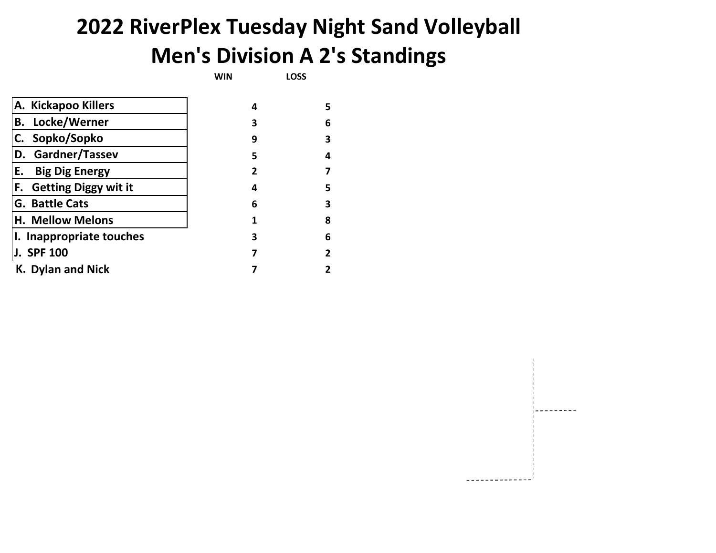# **2022 RiverPlex Tuesday Night Sand Volleyball Men's Division A 2's Standings**

**WIN LOSS**

| 4 | 5 |
|---|---|
| з | 6 |
| 9 | 3 |
| 5 | 4 |
| 2 |   |
| 4 | 5 |
| 6 | 3 |
| 1 | 8 |
| 3 | 6 |
| 7 | 2 |
|   |   |
|   |   |

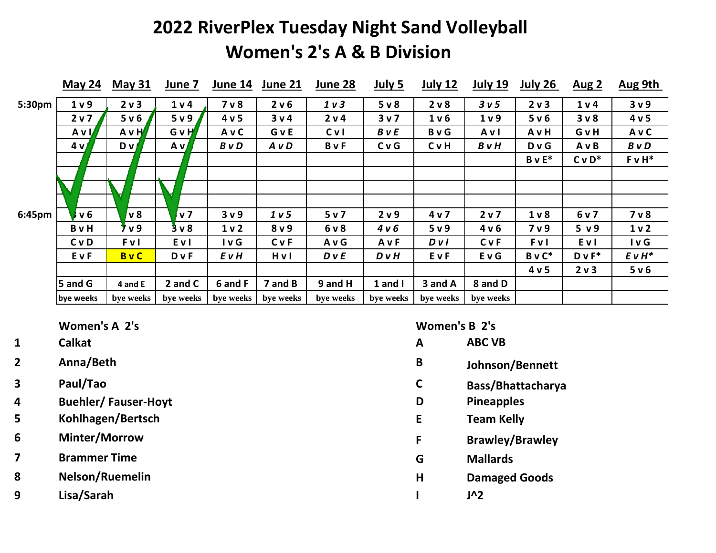## **2022 RiverPlex Tuesday Night Sand Volleyball Women's 2's A & B Division**

|        | May 24         | <b>May 31</b>  | June 7           | June 14        | June 21          | June 28        | July 5           | <b>July 12</b>   | <b>July 19</b>   | <b>July 26</b> | <u>Aug 2</u>   | <b>Aug 9th</b>   |
|--------|----------------|----------------|------------------|----------------|------------------|----------------|------------------|------------------|------------------|----------------|----------------|------------------|
| 5:30pm | 1 <sub>v</sub> | 2 v 3          | 1 <sub>v</sub>   | 7 <sub>v</sub> | 2 v 6            | 1 <sub>v</sub> | 5 <sub>v</sub>   | 2 v 8            | 3 <sub>v</sub> 5 | 2 v 3          | 1 v 4          | 3 <sub>v</sub> 9 |
|        | 2 v 7          | 5 v 6          | 5 <sub>v</sub> 9 | 4 v 5          | 3 v 4            | 2 v 4          | 3v7              | 1 <sub>v</sub> 6 | 1 <sub>v</sub>   | 5 v 6          | 3 <sub>v</sub> | 4 v 5            |
|        | A v I/         | $A \vee H'$    | GvH              | AvC            | GvE              | C <sub>V</sub> | <b>B</b> v E     | <b>B</b> v G     | Avl              | AvH            | GvH            | AvC              |
|        | 4 <sub>v</sub> | D <sub>V</sub> | A v              | B v D          | A v D            | <b>B</b> v F   | CvG              | <b>C</b> v H     | $B \vee H$       | D <sub>v</sub> | AvB            | $B \vee D$       |
|        |                |                |                  |                |                  |                |                  |                  |                  | $B v E^*$      | $CvD^*$        | $F v H^*$        |
|        |                |                |                  |                |                  |                |                  |                  |                  |                |                |                  |
|        |                |                |                  |                |                  |                |                  |                  |                  |                |                |                  |
|        |                |                |                  |                |                  |                |                  |                  |                  |                |                |                  |
| 6:45pm | v <sub>6</sub> | $v_8$          | v <sub>7</sub>   | 3 <sub>v</sub> | 1 <sub>v</sub> 5 | 5 <sub>v</sub> | 2 v 9            | 4 v 7            | 2 v 7            | 1 <sub>v</sub> | 6 v 7          | 7 <sub>v</sub>   |
|        | <b>B</b> v H   | 7 v 9          | 3 <sub>v</sub>   | 1 <sub>v</sub> | 8 <sub>v</sub> 9 | 6 v 8          | 4 v 6            | 5 <sub>v</sub> 9 | 4 v 6            | 7 v 9          | 5 v9           | 1 <sub>v</sub>   |
|        | <b>C</b> vD    | <b>FvI</b>     | Evl              | l v G          | <b>C</b> v F     | AvG            | AvF              | DVI              | <b>C</b> v F     | <b>FvI</b>     | E v I          | I v G            |
|        | EvF            | <b>B</b> vC    | <b>D</b> v F     | <b>E</b> v H   | Hvl              | D v E          | D <sub>v</sub> H | EvF              | <b>EvG</b>       | $B \vee C^*$   | $D v F^*$      | $E \vee H^*$     |
|        |                |                |                  |                |                  |                |                  |                  |                  | 4 v 5          | 2 v 3          | 5 v 6            |
|        | 5 and G        | 4 and E        | 2 and C          | 6 and F        | 7 and B          | 9 and H        | $1$ and $I$      | 3 and A          | 8 and D          |                |                |                  |
|        | bye weeks      | bye weeks      | bye weeks        | bye weeks      | bye weeks        | bye weeks      | bye weeks        | bye weeks        | bye weeks        |                |                |                  |

- 
- **4 Buehler/ Fauser-Hoyt D Pineapples**
- **5 Kohlhagen/Bertsch E Team Kelly**
- **6 Minter/Morrow F Brawley/Brawley**

**7 Brammer Time G Mallards**

- **8 Nelson/Ruemelin H Damaged Goods**
- **9 Lisa/Sarah I J^2**

**Women's A 2's Women's B 2's**

- **1 Calkat A ABC VB**
- **2 Anna/Beth B Johnson/Bennett**
- **3 Paul/Tao C Bass/Bhattacharya**
	- -
	-
	-
	- -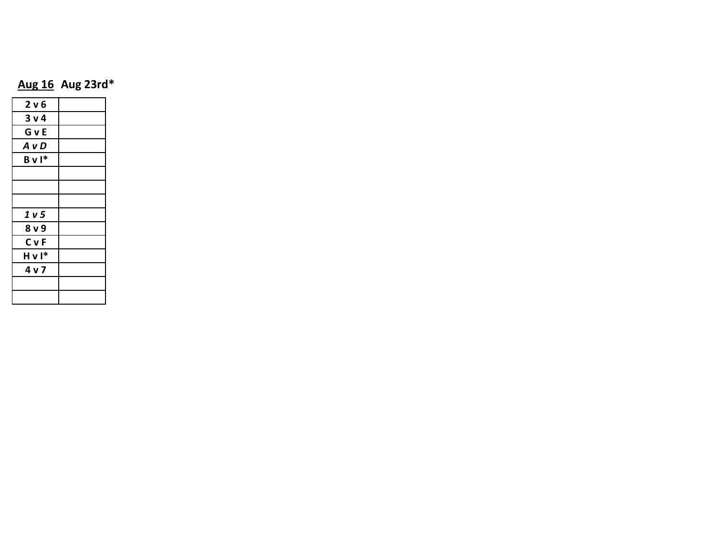### **Aug 16 Aug 23rd\***

| 2 v 6            |  |
|------------------|--|
| 3 <sub>v</sub>   |  |
| GvE              |  |
| A v D            |  |
| $B \vee I^*$     |  |
|                  |  |
|                  |  |
|                  |  |
| 1 v 5            |  |
| 8 <sub>v</sub>   |  |
| <b>C</b> vF      |  |
| Hvl <sup>*</sup> |  |
| 4 v 7            |  |
|                  |  |
|                  |  |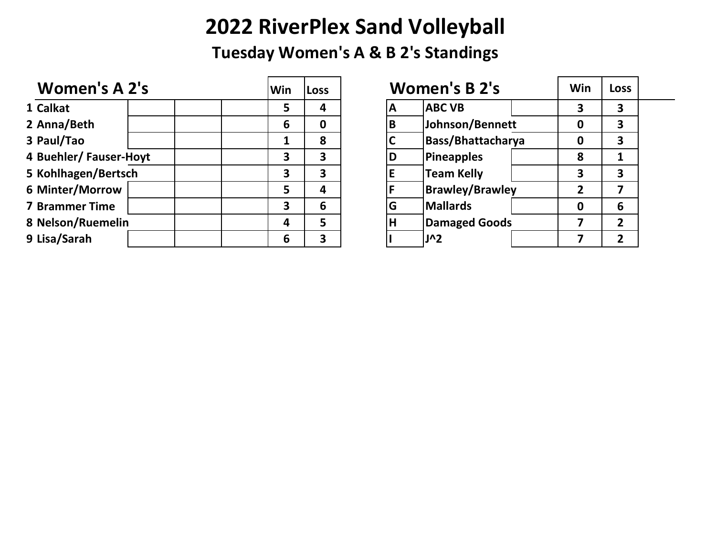## **2022 RiverPlex Sand Volleyball**

**Tuesday Women's A & B 2's Standings**

| Win | Loss | <b>Women's B 2's</b>   | Win | Loss         |
|-----|------|------------------------|-----|--------------|
| 5   | 4    | <b>ABC VB</b><br>A     | 3   | 3            |
| 6   | 0    | Johnson/Bennett<br>B   | 0   | 3            |
|     | 8    | Bass/Bhattacharya      | 0   | 3            |
| 3   | 3    | Pineapples<br>D        | 8   |              |
| 3   | 3    | <b>Team Kelly</b>      | 3   | 3            |
| 5   | 4    | <b>Brawley/Brawley</b> | 2   |              |
| 3   | 6    | <b>Mallards</b><br>G   | 0   | 6            |
| 4   | 5    | Damaged Goods<br>H     |     | $\mathbf{2}$ |
| 6   | 3    | <b>J^2</b>             |     | 7            |
|     |      |                        |     |              |

|   | <b>Women's B 2's</b>     | Win | <b>Loss</b>  |                |  |
|---|--------------------------|-----|--------------|----------------|--|
| Α | <b>ABC VB</b>            |     | 3            | 3              |  |
| B | Johnson/Bennett          |     |              | 3              |  |
| C | <b>Bass/Bhattacharya</b> |     |              | 3              |  |
| D | <b>Pineapples</b>        |     | 8            |                |  |
| E | <b>Team Kelly</b>        |     | 3            | 3              |  |
| F | <b>Brawley/Brawley</b>   |     | $\mathbf{2}$ |                |  |
| G | <b>Mallards</b>          |     |              | 6              |  |
| H | <b>Damaged Goods</b>     |     |              | $\overline{2}$ |  |
|   | J^2                      |     |              | 2              |  |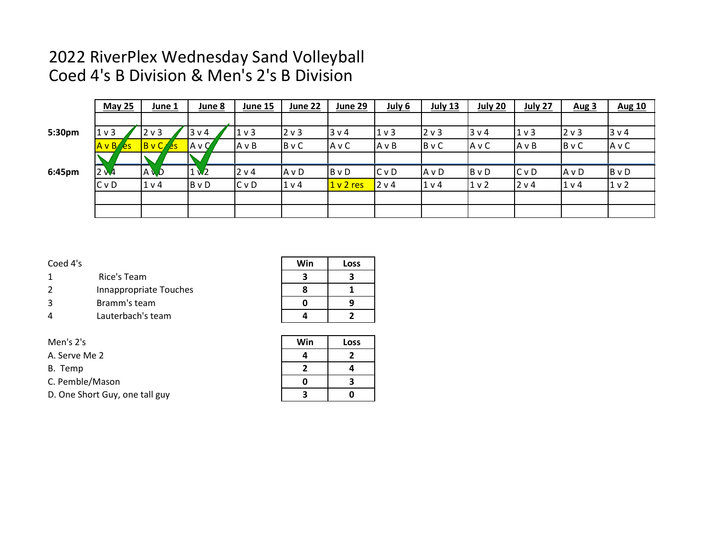### 2022 RiverPlex Wednesday Sand Volleyball Coed 4's B Division & Men's 2's B Division

|        | <b>May 25</b>   | June 1         | June 8        | June 15        | June 22      | June 29      | July 6         | <b>July 13</b> | <b>July 20</b> | <b>July 27</b> | <b>Aug 3</b>   | <b>Aug 10</b>  |
|--------|-----------------|----------------|---------------|----------------|--------------|--------------|----------------|----------------|----------------|----------------|----------------|----------------|
|        |                 |                |               |                |              |              |                |                |                |                |                |                |
| 5:30pm | 1 <sub>v</sub>  | 2 <sub>v</sub> | 3 v 4         | 1 <sub>v</sub> | $ 2 \vee 3$  | 3 v 4        | 1 <sub>v</sub> | 2 v 3          | 3 v 4          | $1v$ 3         | $12 \vee 3$    | 3 v 4          |
|        | $A \vee B / 2S$ | BVC/es         | $A \vee C'$   | AvB            | <b>B</b> v C | A v C        | $A \vee B$     | BvC            | AvC            | AvB            | BvC            | AvC            |
|        |                 |                |               |                |              |              |                |                |                |                |                |                |
| 6:45pm | 2 <sub>M</sub>  | <b>AW</b>      | $1\mathbf{V}$ | 2 v 4          | $A \vee D$   | <b>B</b> v D | $C$ v D        | AvD            | B v D          | IC v D         | IA v D         | $B \vee D$     |
|        | CvD             | 1 <sub>v</sub> | <b>B</b> v D  | C <sub>v</sub> | 1 v 4        | 1 v 2 res    | 2 v 4          | 1 <sub>v</sub> | 1 <sub>v</sub> | 2 v 4          | 1 <sub>v</sub> | 1 <sub>v</sub> |
|        |                 |                |               |                |              |              |                |                |                |                |                |                |
|        |                 |                |               |                |              |              |                |                |                |                |                |                |

#### Coed 4's **Win Loss**

- 1 Rice's Team **3 3 3**
- 2 Innappropriate Touches **8 1**
- 3 Bramm's team **0 9**
- 4 Lauterbach's team **4 2**

| Men's 2's                      | Win | Loss |
|--------------------------------|-----|------|
| A. Serve Me 2                  |     |      |
| B. Temp                        |     |      |
| C. Pemble/Mason                |     |      |
| D. One Short Guy, one tall guy |     |      |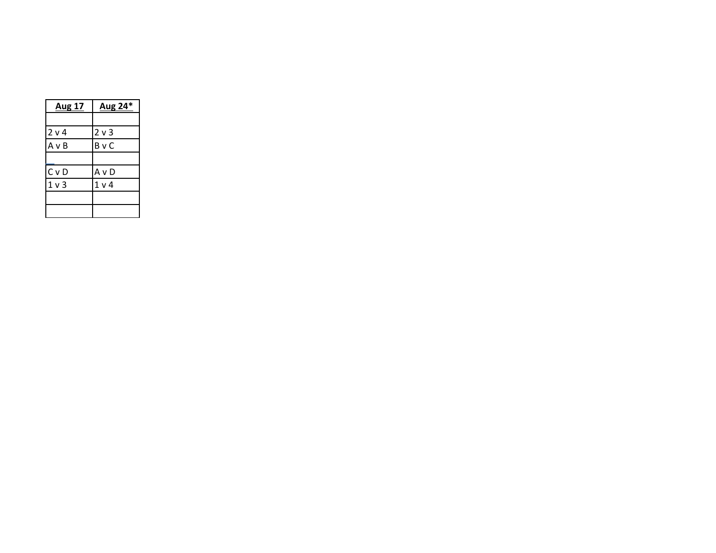| <b>Aug 17</b>    | Aug 24*        |  |  |
|------------------|----------------|--|--|
|                  |                |  |  |
| 2 v 4            | 2 <sub>v</sub> |  |  |
| AvB              | <b>B</b> v C   |  |  |
|                  |                |  |  |
| C <sub>V</sub> D | A v D          |  |  |
| 1 <sub>v</sub>   | 1 <sub>v</sub> |  |  |
|                  |                |  |  |
|                  |                |  |  |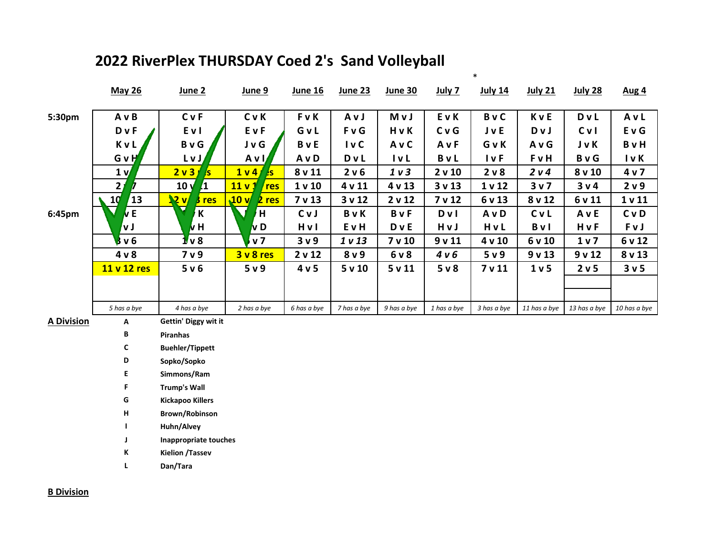|                   | <b>May 26</b>  | June 2                        | June 9                   | <u>June 16</u>    | June 23         | <b>June 30</b>   | <u>July 7</u> | <u>July 14</u>    | <b>July 21</b>   | <b>July 28</b> | <u>Aug 4</u>      |
|-------------------|----------------|-------------------------------|--------------------------|-------------------|-----------------|------------------|---------------|-------------------|------------------|----------------|-------------------|
| 5:30pm            | A v B          | <b>C</b> vF                   | <b>CvK</b>               | <b>FvK</b>        | AvJ             | M v J            | EvK           | <b>B</b> vC       | KvE              | <b>D</b> v L   | AvL               |
|                   | <b>D</b> v F   | Evl                           | EvF                      | GvL               | <b>FvG</b>      | HvK              | CvG           | <b>J</b> v E      | Dv J             | CvI            | <b>EvG</b>        |
|                   | <b>KvL</b>     | <b>B</b> v G                  | J v G                    | <b>B</b> v E      | Iv <sub>C</sub> | A v C            | AvF           | GvK               | A v G            | J v K          | <b>B</b> v H      |
|                   | GvH            | LvJ                           | Avl                      | A v D             | <b>D</b> v L    | $I$ v $L$        | <b>B</b> vL   | <b>I</b> v F      | FvH              | <b>B</b> v G   | I v K             |
|                   | 1 <sub>v</sub> | 2 <sub>v</sub> 3<br>IS.       | 1 v 4<br>A <sub>s</sub>  | 8v11              | 2 v 6           | 1 <sub>v</sub> 3 | 2 v 10        | 2 v 8             | 2 v 4            | 8 v 10         | 4 v 7             |
|                   | $\mathbf{2}$   | 10 <sub>y</sub><br>$\sqrt{1}$ | 11 <sub>v</sub> 1<br>res | 1 <sub>v</sub> 10 | 4 v 11          | 4v13             | 3v13          | 1 <sub>v</sub> 12 | 3 <sub>v</sub>   | 3v4            | 2 v 9             |
|                   | 10<br>13       | $\mathbf{R}$<br>$3$ res       | 10v<br>$2$ res           | 7 <sub>v</sub> 13 | 3v12            | 2 v 12           | 7 v 12        | 6 v 13            | 8 v 12           | 6 v 11         | 1 <sub>v</sub> 11 |
| 6:45pm            | <b>VE</b>      | K                             | H                        | CvJ               | BvK             | <b>B</b> v F     | D v I         | A v D             | CvL              | AvE            | <b>C</b> vD       |
|                   | V J            | kн                            | v D                      | Hvl               | EvH             | <b>D</b> v E     | HvJ           | HvL               | <b>B</b> vl      | HvF            | FvJ               |
|                   | 8v6            | $11$ v 8                      | v <sub>7</sub>           | 3 <sub>v</sub> 9  | 1 v 13          | 7 v 10           | 9v11          | 4v10              | 6 v 10           | 1 <sub>v</sub> | 6 v 12            |
|                   | 4 <sub>v</sub> | 7 v 9                         | 3v8res                   | 2 v 12            | 8 v 9           | 6 v 8            | 4 v 6         | 5 <sub>v</sub> 9  | 9v13             | 9v12           | 8 v 13            |
|                   | 11 v 12 res    | 5 <sub>v</sub> 6              | 5 <sub>v</sub> 9         | 4 v 5             | 5v10            | 5v11             | $5v$ 8        | 7 <sub>v</sub> 11 | 1 <sub>v</sub> 5 | 2 v 5          | 3 <sub>v</sub> 5  |
|                   |                |                               |                          |                   |                 |                  |               |                   |                  |                |                   |
|                   |                |                               |                          |                   |                 |                  |               |                   |                  |                |                   |
|                   | 5 has a bye    | 4 has a bye                   | 2 has a bye              | 6 has a bye       | 7 has a bye     | 9 has a bye      | 1 has a bye   | 3 has a bye       | 11 has a bye     | 13 has a bye   | 10 has a bye      |
| <b>A Division</b> | Α              | Gettin' Diggy wit it          |                          |                   |                 |                  |               |                   |                  |                |                   |
|                   | В              | <b>Piranhas</b>               |                          |                   |                 |                  |               |                   |                  |                |                   |
|                   | C              | <b>Buehler/Tippett</b>        |                          |                   |                 |                  |               |                   |                  |                |                   |
|                   | D              | Sopko/Sopko                   |                          |                   |                 |                  |               |                   |                  |                |                   |
|                   | E              | Simmons/Ram                   |                          |                   |                 |                  |               |                   |                  |                |                   |
|                   | F.             | <b>Trump's Wall</b>           |                          |                   |                 |                  |               |                   |                  |                |                   |
|                   | G              | <b>Kickapoo Killers</b>       |                          |                   |                 |                  |               |                   |                  |                |                   |
|                   | н              | <b>Brown/Robinson</b>         |                          |                   |                 |                  |               |                   |                  |                |                   |
|                   |                | Huhn/Alvey                    |                          |                   |                 |                  |               |                   |                  |                |                   |
|                   | J              | <b>Inappropriate touches</b>  |                          |                   |                 |                  |               |                   |                  |                |                   |
|                   | Κ              | <b>Kielion / Tassev</b>       |                          |                   |                 |                  |               |                   |                  |                |                   |
|                   | L              | Dan/Tara                      |                          |                   |                 |                  |               |                   |                  |                |                   |

 $\ast$ 

### 2022 RiverPlex THURSDAY Coed 2's Sand Volleyball

**B** Division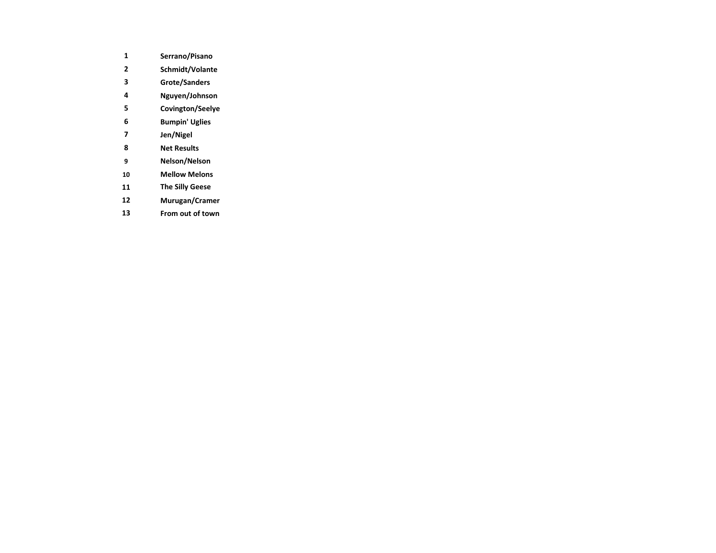- **Serrano/Pisano**
- **Schmidt/Volante**
- **Grote/Sanders**
- **Nguyen/Johnson**
- **Covington/Seelye**
- **Bumpin' Uglies**
- **Jen/Nigel**
- **Net Results**
- **Nelson/Nelson**
- **Mellow Melons**
- **The Silly Geese**
- **Murugan/Cramer**
- **From out of town**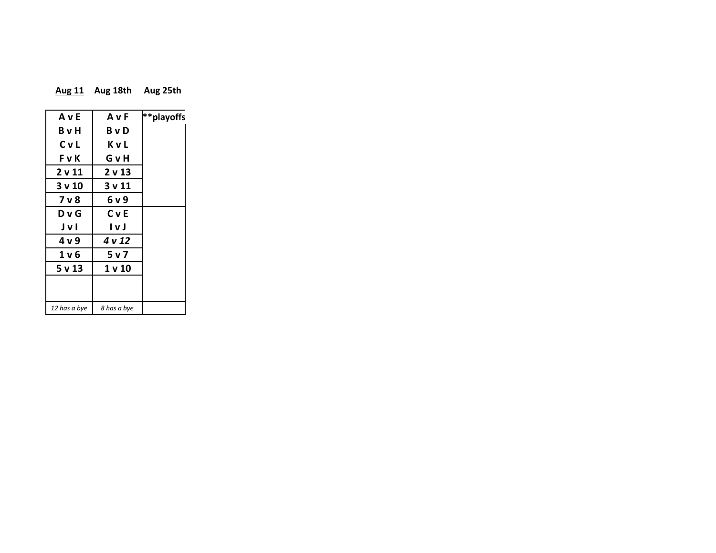| <b>Aug 11</b> | Aug 18th | Aug 25th |
|---------------|----------|----------|
|---------------|----------|----------|

| AvE          | AvF               | **playoffs |
|--------------|-------------------|------------|
| BvH          | BvD               |            |
| CvL          | ΚvL               |            |
| <b>FvK</b>   | GνH               |            |
| 2 v 11       | 2 <sub>v</sub> 13 |            |
| 3 v 10       | 3 v 11            |            |
| 7 v 8        | 6 v 9             |            |
| D v G        | <b>C</b> v E      |            |
| JvI          | l v J             |            |
| 4 v 9        | 4 v 12            |            |
| 1 v 6        | 5 v 7             |            |
| 5 v 13       | 1 v 10            |            |
|              |                   |            |
|              |                   |            |
| 12 has a bye | 8 has a bye       |            |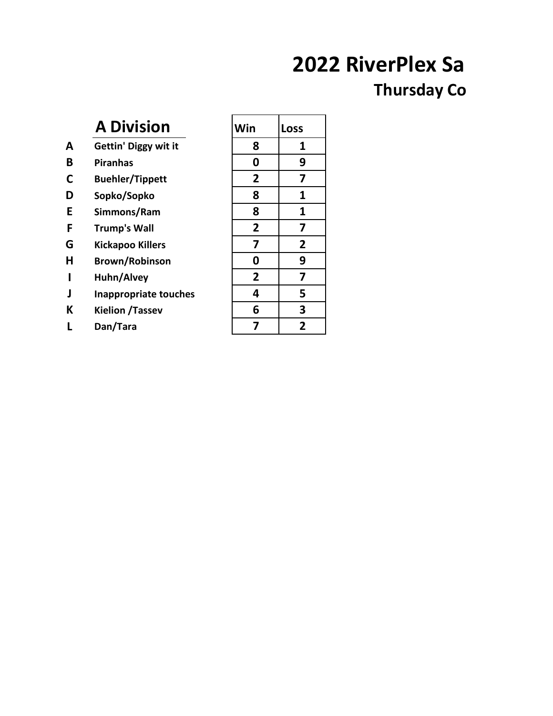# **2022 RiverPlex Sa**

## **Thursday Co**

|   | <b>A Division</b>            | Win            | <b>Loss</b>    |
|---|------------------------------|----------------|----------------|
| A | <b>Gettin' Diggy wit it</b>  | 8              | 1              |
| B | <b>Piranhas</b>              | 0              | 9              |
| C | <b>Buehler/Tippett</b>       | $\overline{2}$ | 7              |
| D | Sopko/Sopko                  | 8              | 1              |
| E | Simmons/Ram                  | 8              | 1              |
| F | <b>Trump's Wall</b>          | $\overline{2}$ | 7              |
| G | <b>Kickapoo Killers</b>      | 7              | 2              |
| Н | <b>Brown/Robinson</b>        | 0              | 9              |
| ı | Huhn/Alvey                   | $\overline{2}$ | 7              |
| J | <b>Inappropriate touches</b> | 4              | 5              |
| K | <b>Kielion / Tassev</b>      | 6              | 3              |
|   | Dan/Tara                     | 7              | $\overline{2}$ |
|   |                              |                |                |

| Win                     | Loss                     |
|-------------------------|--------------------------|
| 8                       | 1                        |
| 0                       | $\overline{9}$           |
| $\overline{\mathbf{c}}$ | 7                        |
| 8                       | 1                        |
| 8                       | 1                        |
| $\overline{\mathbf{c}}$ | $\overline{z}$           |
| 7                       | $\overline{2}$           |
| 0                       | $\overline{9}$           |
| $\overline{2}$          | 7                        |
| 4                       | $\overline{\phantom{a}}$ |
| 6                       | $\overline{\mathbf{3}}$  |
| 7                       | $\overline{\mathbf{2}}$  |